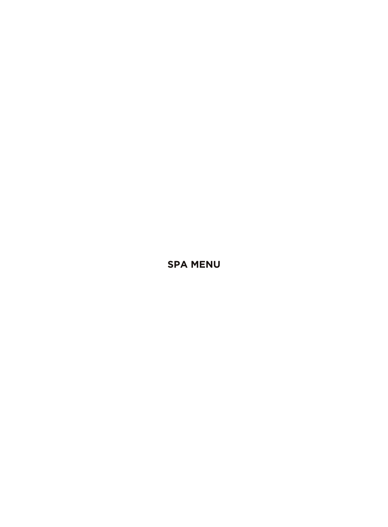**SPA MENU**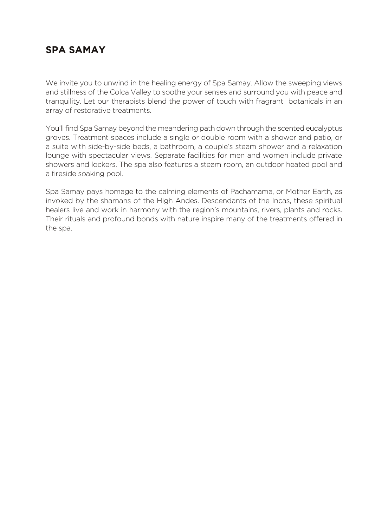# **SPA SAMAY**

We invite you to unwind in the healing energy of Spa Samay. Allow the sweeping views and stillness of the Colca Valley to soothe your senses and surround you with peace and tranquility. Let our therapists blend the power of touch with fragrant botanicals in an array of restorative treatments.

You'll find Spa Samay beyond the meandering path down through the scented eucalyptus groves. Treatment spaces include a single or double room with a shower and patio, or a suite with side-by-side beds, a bathroom, a couple's steam shower and a relaxation lounge with spectacular views. Separate facilities for men and women include private showers and lockers. The spa also features a steam room, an outdoor heated pool and a fireside soaking pool.

Spa Samay pays homage to the calming elements of Pachamama, or Mother Earth, as invoked by the shamans of the High Andes. Descendants of the Incas, these spiritual healers live and work in harmony with the region's mountains, rivers, plants and rocks. Their rituals and profound bonds with nature inspire many of the treatments offered in the spa.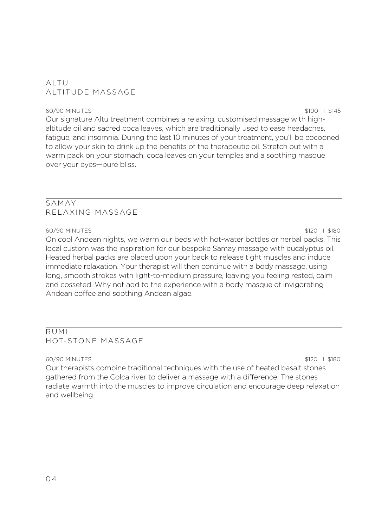# ALTU ALTITUDE MASSAGE

60/90 MINUTES \$100 I \$145 Our signature Altu treatment combines a relaxing, customised massage with highaltitude oil and sacred coca leaves, which are traditionally used to ease headaches, fatigue, and insomnia. During the last 10 minutes of your treatment, you'll be cocooned to allow your skin to drink up the benefits of the therapeutic oil. Stretch out with a warm pack on your stomach, coca leaves on your temples and a soothing masque over your eyes—pure bliss.

# SAMAY RELAXING MASSAGE

### 60/90 MINUTES \$120 I \$180

On cool Andean nights, we warm our beds with hot-water bottles or herbal packs. This local custom was the inspiration for our bespoke Samay massage with eucalyptus oil. Heated herbal packs are placed upon your back to release tight muscles and induce immediate relaxation. Your therapist will then continue with a body massage, using long, smooth strokes with light-to-medium pressure, leaving you feeling rested, calm and cosseted. Why not add to the experience with a body masque of invigorating Andean coffee and soothing Andean algae.

# RUMI HOT-STONE MASSAGE

60/90 MINUTES \$120 I \$180 Our therapists combine traditional techniques with the use of heated basalt stones gathered from the Colca river to deliver a massage with a difference. The stones radiate warmth into the muscles to improve circulation and encourage deep relaxation and wellbeing.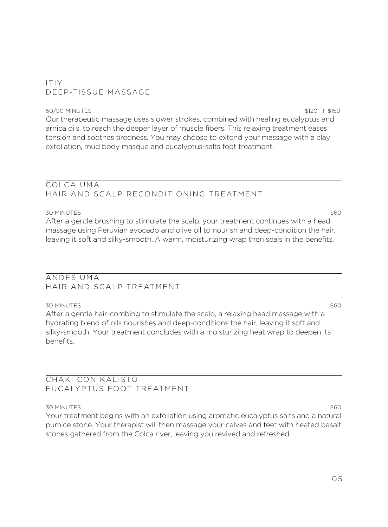### ITIY DEEP-TISSUE MASSAGE

60/90 MINUTES \$120 I \$150 Our therapeutic massage uses slower strokes, combined with healing eucalyptus and arnica oils, to reach the deeper layer of muscle fibers. This relaxing treatment eases tension and soothes tiredness. You may choose to extend your massage with a clay exfoliation, mud body masque and eucalyptus-salts foot treatment.

### COLCA UMA HAIR AND SCALP RECONDITIONING TREATMENT

#### 30 MINUTES \$60

After a gentle brushing to stimulate the scalp, your treatment continues with a head massage using Peruvian avocado and olive oil to nourish and deep-condition the hair, leaving it soft and silky-smooth. A warm, moisturizing wrap then seals in the benefits.

### ANDES UMA HAIR AND SCALP TREATMENT

30 MINUTES \$60 After a gentle hair-combing to stimulate the scalp, a relaxing head massage with a hydrating blend of oils nourishes and deep-conditions the hair, leaving it soft and silky-smooth. Your treatment concludes with a moisturizing heat wrap to deepen its benefits.

### CHAKI CON KALISTO EUCALYPTUS FOOT TREATMENT

#### 30 MINUTES \$60

Your treatment begins with an exfoliation using aromatic eucalyptus salts and a natural pumice stone. Your therapist will then massage your calves and feet with heated basalt stones gathered from the Colca river, leaving you revived and refreshed.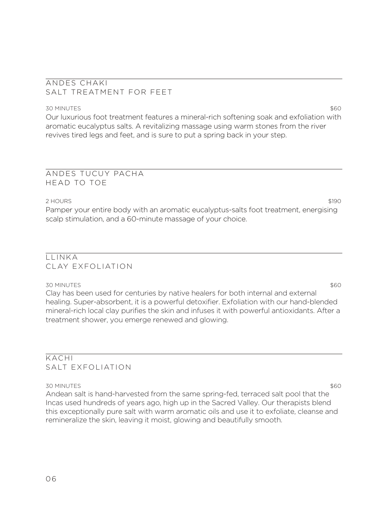### ANDES CHAKI SALT TREATMENT FOR FEET

#### 30 MINUTES \$60

Our luxurious foot treatment features a mineral-rich softening soak and exfoliation with aromatic eucalyptus salts. A revitalizing massage using warm stones from the river revives tired legs and feet, and is sure to put a spring back in your step.

### ANDES TUCUY PACHA HEAD TO TOE

#### 2 HOURS \$190

Pamper your entire body with an aromatic eucalyptus-salts foot treatment, energising scalp stimulation, and a 60-minute massage of your choice.

# $I$  INKA CLAY EXFOLIATION

30 MINUTES \$60 Clay has been used for centuries by native healers for both internal and external healing. Super-absorbent, it is a powerful detoxifier. Exfoliation with our hand-blended mineral-rich local clay purifies the skin and infuses it with powerful antioxidants. After a treatment shower, you emerge renewed and glowing.

### KACHI SALT EXFOLIATION

#### 30 MINUTES \$60

Andean salt is hand-harvested from the same spring-fed, terraced salt pool that the Incas used hundreds of years ago, high up in the Sacred Valley. Our therapists blend this exceptionally pure salt with warm aromatic oils and use it to exfoliate, cleanse and remineralize the skin, leaving it moist, glowing and beautifully smooth.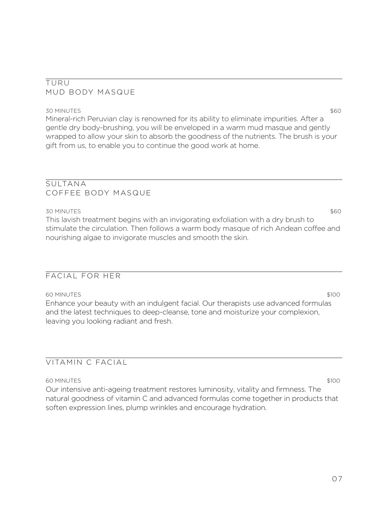### TURU MUD BODY MASQUE

30 MINUTES \$60 Mineral-rich Peruvian clay is renowned for its ability to eliminate impurities. After a gentle dry body-brushing, you will be enveloped in a warm mud masque and gently wrapped to allow your skin to absorb the goodness of the nutrients. The brush is your gift from us, to enable you to continue the good work at home.

### SULTANA COFFEE BODY MASQUE

### 30 MINUTES \$60

This lavish treatment begins with an invigorating exfoliation with a dry brush to stimulate the circulation. Then follows a warm body masque of rich Andean coffee and nourishing algae to invigorate muscles and smooth the skin.

# FACIAL FOR HER

60 MINUTES \$100

Enhance your beauty with an indulgent facial. Our therapists use advanced formulas and the latest techniques to deep-cleanse, tone and moisturize your complexion, leaving you looking radiant and fresh.

# VITAMIN C FACIAL

60 MINUTES \$100

Our intensive anti-ageing treatment restores luminosity, vitality and firmness. The natural goodness of vitamin C and advanced formulas come together in products that soften expression lines, plump wrinkles and encourage hydration.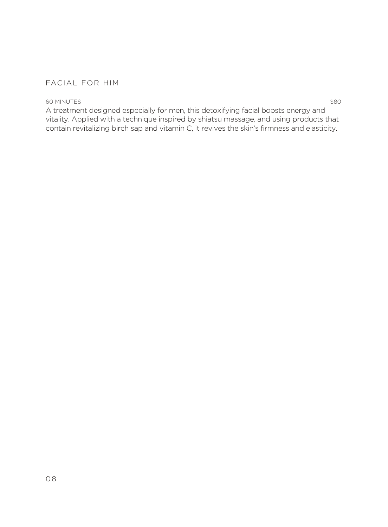### FACIAL FOR HIM

#### 60 MINUTES \$80

A treatment designed especially for men, this detoxifying facial boosts energy and vitality. Applied with a technique inspired by shiatsu massage, and using products that contain revitalizing birch sap and vitamin C, it revives the skin's firmness and elasticity.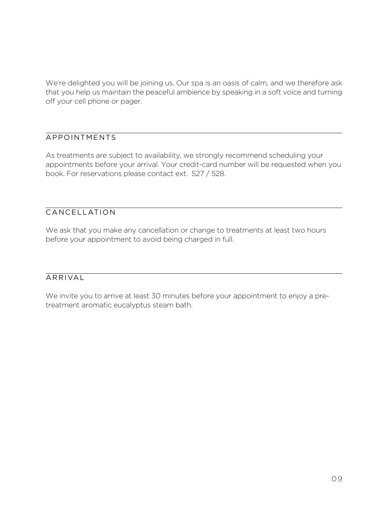We're delighted you will be joining us. Our spa is an oasis of calm, and we therefore ask that you help us maintain the peaceful ambience by speaking in a soft voice and turning off your cell phone or pager.

# APPOINTMENTS

As treatments are subject to availability, we strongly recommend scheduling your appointments before your arrival. Your credit-card number will be requested when you book. For reservations please contact ext. 527 / 528.

### CANCELLATION

We ask that you make any cancellation or change to treatments at least two hours before your appointment to avoid being charged in full.

# ARRIVAL

We invite you to arrive at least 30 minutes before your appointment to enjoy a pretreatment aromatic eucalyptus steam bath.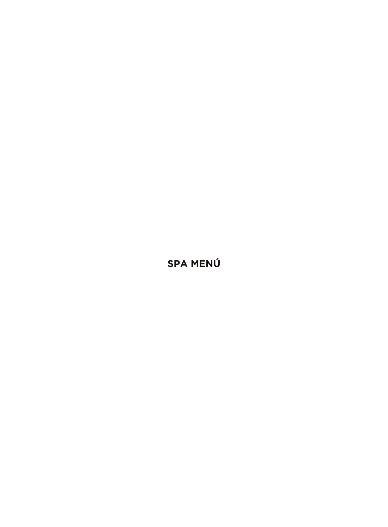SPA MENÚ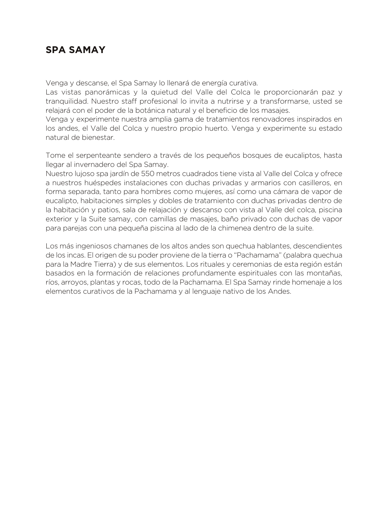# **SPA SAMAY**

Venga y descanse, el Spa Samay lo llenará de energía curativa.

Las vistas panorámicas y la quietud del Valle del Colca le proporcionarán paz y tranquilidad. Nuestro staff profesional lo invita a nutrirse y a transformarse, usted se relajará con el poder de la botánica natural y el beneficio de los masajes.

Venga y experimente nuestra amplia gama de tratamientos renovadores inspirados en los andes, el Valle del Colca y nuestro propio huerto. Venga y experimente su estado natural de bienestar.

Tome el serpenteante sendero a través de los pequeños bosques de eucaliptos, hasta llegar al invernadero del Spa Samay.

Nuestro lujoso spa jardín de 550 metros cuadrados tiene vista al Valle del Colca y ofrece a nuestros huéspedes instalaciones con duchas privadas y armarios con casilleros, en forma separada, tanto para hombres como mujeres, así como una cámara de vapor de eucalipto, habitaciones simples y dobles de tratamiento con duchas privadas dentro de la habitación y patios, sala de relajación y descanso con vista al Valle del colca, piscina exterior y la Suite samay, con camillas de masajes, baño privado con duchas de vapor para parejas con una pequeña piscina al lado de la chimenea dentro de la suite.

Los más ingeniosos chamanes de los altos andes son quechua hablantes, descendientes de los incas. El origen de su poder proviene de la tierra o "Pachamama" (palabra quechua para la Madre Tierra) y de sus elementos. Los rituales y ceremonias de esta región están basados en la formación de relaciones profundamente espirituales con las montañas, ríos, arroyos, plantas y rocas, todo de la Pachamama. El Spa Samay rinde homenaje a los elementos curativos de la Pachamama y al lenguaje nativo de los Andes.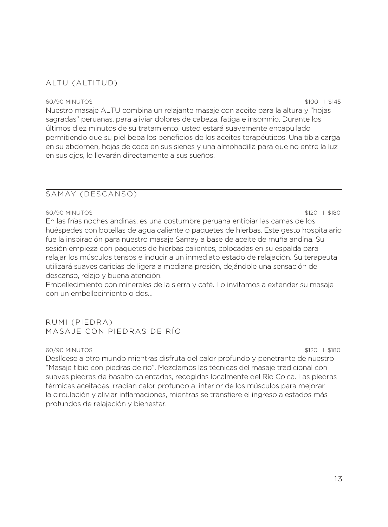### ALTU (ALTITUD)

#### 60/90 MINUTOS \$100 I \$145

Nuestro masaje ALTU combina un relajante masaje con aceite para la altura y "hojas sagradas" peruanas, para aliviar dolores de cabeza, fatiga e insomnio. Durante los últimos diez minutos de su tratamiento, usted estará suavemente encapullado permitiendo que su piel beba los beneficios de los aceites terapéuticos. Una tibia carga en su abdomen, hojas de coca en sus sienes y una almohadilla para que no entre la luz en sus ojos, lo llevarán directamente a sus sueños.

### SAMAY (DESCANSO)

#### 60/90 MINUTOS \$120 I \$180

En las frías noches andinas, es una costumbre peruana entibiar las camas de los huéspedes con botellas de agua caliente o paquetes de hierbas. Este gesto hospitalario fue la inspiración para nuestro masaje Samay a base de aceite de muña andina. Su sesión empieza con paquetes de hierbas calientes, colocadas en su espalda para relajar los músculos tensos e inducir a un inmediato estado de relajación. Su terapeuta utilizará suaves caricias de ligera a mediana presión, dejándole una sensación de descanso, relajo y buena atención.

Embellecimiento con minerales de la sierra y café. Lo invitamos a extender su masaje con un embellecimiento o dos…

### RUMI (PIEDRA) MASAJE CON PIEDRAS DE RÍO

#### 60/90 MINUTOS \$120 I \$180

Deslícese a otro mundo mientras disfruta del calor profundo y penetrante de nuestro "Masaje tibio con piedras de rio". Mezclamos las técnicas del masaje tradicional con suaves piedras de basalto calentadas, recogidas localmente del Río Colca. Las piedras térmicas aceitadas irradian calor profundo al interior de los músculos para mejorar la circulación y aliviar inflamaciones, mientras se transfiere el ingreso a estados más profundos de relajación y bienestar.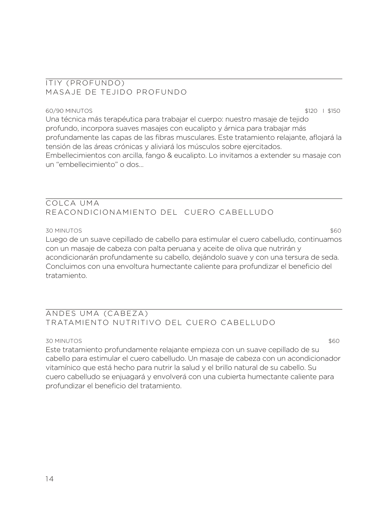### ITIY (PROFUNDO) MASAJE DE TEJIDO PROFUNDO

#### 60/90 MINUTOS \$120 I \$150

Una técnica más terapéutica para trabajar el cuerpo: nuestro masaje de tejido profundo, incorpora suaves masajes con eucalipto y árnica para trabajar más profundamente las capas de las fibras musculares. Este tratamiento relajante, aflojará la tensión de las áreas crónicas y aliviará los músculos sobre ejercitados. Embellecimientos con arcilla, fango & eucalipto. Lo invitamos a extender su masaje con un "embellecimiento" o dos…

### COLCA UMA REACONDICIONAMIENTO DEL CUERO CABELLUDO

### 30 MINUTOS \$60

Luego de un suave cepillado de cabello para estimular el cuero cabelludo, continuamos con un masaje de cabeza con palta peruana y aceite de oliva que nutrirán y acondicionarán profundamente su cabello, dejándolo suave y con una tersura de seda. Concluimos con una envoltura humectante caliente para profundizar el beneficio del tratamiento.

# ANDES UMA (CABEZA) TRATAMIENTO NUTRITIVO DEL CUERO CABELLUDO

### 30 MINUTOS \$60

Este tratamiento profundamente relajante empieza con un suave cepillado de su cabello para estimular el cuero cabelludo. Un masaje de cabeza con un acondicionador vitamínico que está hecho para nutrir la salud y el brillo natural de su cabello. Su cuero cabelludo se enjuagará y envolverá con una cubierta humectante caliente para profundizar el beneficio del tratamiento.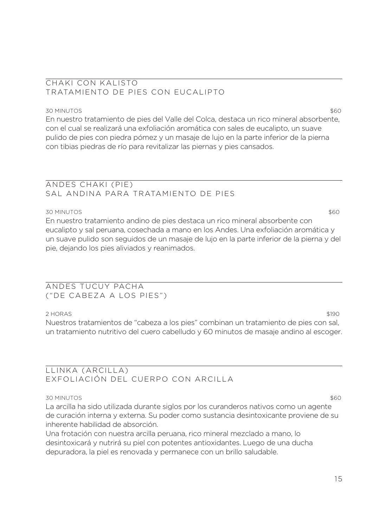### CHAKI CON KALISTO TRATAMIENTO DE PIES CON EUCALIPTO

### 30 MINUTOS \$60

En nuestro tratamiento de pies del Valle del Colca, destaca un rico mineral absorbente, con el cual se realizará una exfoliación aromática con sales de eucalipto, un suave pulido de pies con piedra pómez y un masaje de lujo en la parte inferior de la pierna con tibias piedras de río para revitalizar las piernas y pies cansados.

### ANDES CHAKI (PIE) SAL ANDINA PARA TRATAMIENTO DE PIES

#### 30 MINUTOS \$60

En nuestro tratamiento andino de pies destaca un rico mineral absorbente con eucalipto y sal peruana, cosechada a mano en los Andes. Una exfoliación aromática y un suave pulido son seguidos de un masaje de lujo en la parte inferior de la pierna y del pie, dejando los pies aliviados y reanimados.

### ANDES TUCUY PACHA ("DE CABEZA A LOS PIES")

### 2 HORAS \$190

Nuestros tratamientos de "cabeza a los pies" combinan un tratamiento de pies con sal, un tratamiento nutritivo del cuero cabelludo y 60 minutos de masaje andino al escoger.

### LLINKA (ARCILLA) EXFOLIACIÓN DEL CUERPO CON ARCILLA

#### 30 MINUTOS \$60

La arcilla ha sido utilizada durante siglos por los curanderos nativos como un agente de curación interna y externa. Su poder como sustancia desintoxicante proviene de su inherente habilidad de absorción.

Una frotación con nuestra arcilla peruana, rico mineral mezclado a mano, lo desintoxicará y nutrirá su piel con potentes antioxidantes. Luego de una ducha depuradora, la piel es renovada y permanece con un brillo saludable.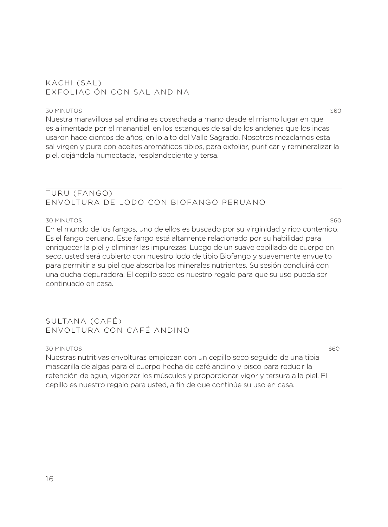### KACHI (SAL) EXFOLIACIÓN CON SAL ANDINA

#### 30 MINUTOS \$60

Nuestra maravillosa sal andina es cosechada a mano desde el mismo lugar en que es alimentada por el manantial, en los estanques de sal de los andenes que los incas usaron hace cientos de años, en lo alto del Valle Sagrado. Nosotros mezclamos esta sal virgen y pura con aceites aromáticos tibios, para exfoliar, purificar y remineralizar la piel, dejándola humectada, resplandeciente y tersa.

### TURU (FANGO) ENVOLTURA DE LODO CON BIOFANGO PERUANO

#### 30 MINUTOS \$60

En el mundo de los fangos, uno de ellos es buscado por su virginidad y rico contenido. Es el fango peruano. Este fango está altamente relacionado por su habilidad para enriquecer la piel y eliminar las impurezas. Luego de un suave cepillado de cuerpo en seco, usted será cubierto con nuestro lodo de tibio Biofango y suavemente envuelto para permitir a su piel que absorba los minerales nutrientes. Su sesión concluirá con una ducha depuradora. El cepillo seco es nuestro regalo para que su uso pueda ser continuado en casa.

### SULTANA (CAFÉ) ENVOLTURA CON CAFÉ ANDINO

#### 30 MINUTOS \$60

Nuestras nutritivas envolturas empiezan con un cepillo seco seguido de una tibia mascarilla de algas para el cuerpo hecha de café andino y pisco para reducir la retención de agua, vigorizar los músculos y proporcionar vigor y tersura a la piel. El cepillo es nuestro regalo para usted, a fin de que continúe su uso en casa.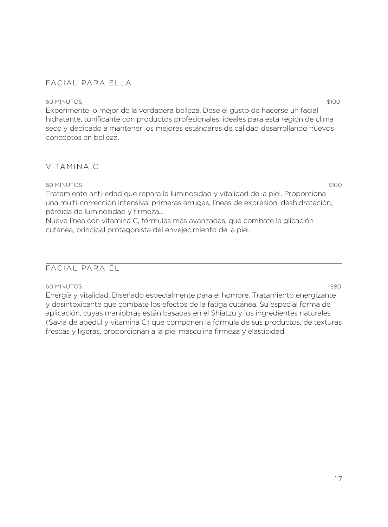### FACIAL PARA ELLA

#### 60 MINUTOS \$100

Experimente lo mejor de la verdadera belleza. Dese el gusto de hacerse un facial hidratante, tonificante con productos profesionales, ideales para esta región de clima seco y dedicado a mantener los mejores estándares de calidad desarrollando nuevos conceptos en belleza.

### VITAMINA C

#### 60 MINUTOS \$100

Tratamiento anti-edad que repara la luminosidad y vitalidad de la piel. Proporciona una multi-corrección intensiva: primeras arrugas, líneas de expresión, deshidratación, pérdida de luminosidad y firmeza…

Nueva línea con vitamina C, fórmulas más avanzadas, que combate la glicación cutánea, principal protagonista del envejecimiento de la piel.

### FACIAL PARA ÉL

#### 60 MINUTOS \$80

Energía y vitalidad. Diseñado especialmente para el hombre. Tratamiento energizante y desintoxicante que combate los efectos de la fatiga cutánea. Su especial forma de aplicación, cuyas maniobras están basadas en el Shiatzu y los ingredientes naturales (Savia de abedul y vitamina C) que componen la fórmula de sus productos, de texturas frescas y ligeras, proporcionan a la piel masculina firmeza y elasticidad.